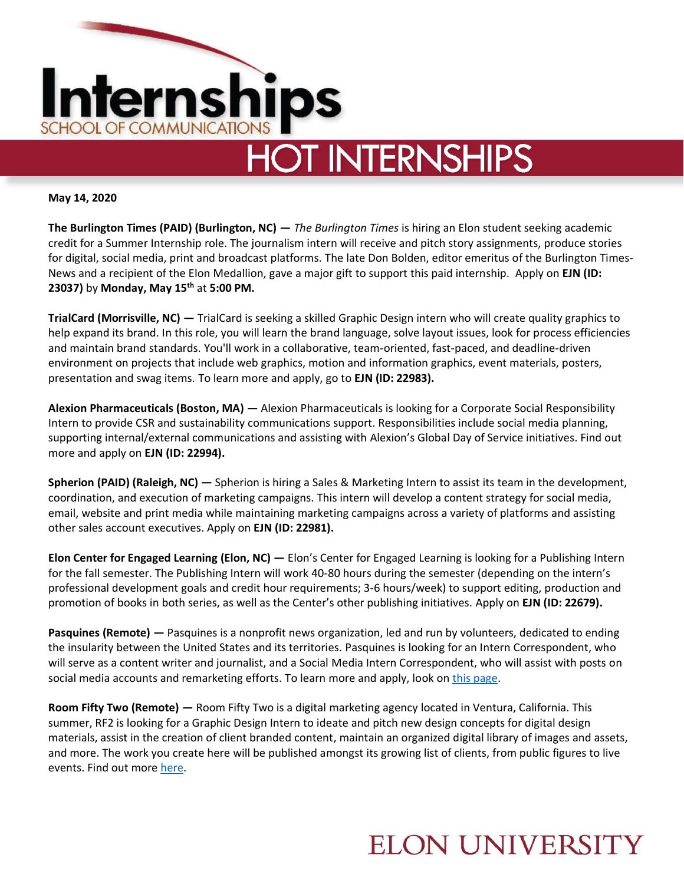

**May 14, 2020**

**The Burlington Times (PAID) (Burlington, NC) —** *The Burlington Times* is hiring an Elon student seeking academic credit for a Summer Internship role. The journalism intern will receive and pitch story assignments, produce stories for digital, social media, print and broadcast platforms. The late Don Bolden, editor emeritus of the Burlington Times-News and a recipient of the Elon Medallion, gave a major gift to support this paid internship. Apply on **EJN (ID: 23037)** by **Monday, May 15th** at **5:00 PM.** 

**TrialCard (Morrisville, NC) —** TrialCard is seeking a skilled Graphic Design intern who will create quality graphics to help expand its brand. In this role, you will learn the brand language, solve layout issues, look for process efficiencies and maintain brand standards. You'll work in a collaborative, team-oriented, fast-paced, and deadline-driven environment on projects that include web graphics, motion and information graphics, event materials, posters, presentation and swag items. To learn more and apply, go to **EJN (ID: 22983).** 

**Alexion Pharmaceuticals (Boston, MA) —** Alexion Pharmaceuticals is looking for a Corporate Social Responsibility Intern to provide CSR and sustainability communications support. Responsibilities include social media planning, supporting internal/external communications and assisting with Alexion's Global Day of Service initiatives. Find out more and apply on **EJN (ID: 22994).** 

**Spherion (PAID) (Raleigh, NC) —** Spherion is hiring a Sales & Marketing Intern to assist its team in the development, coordination, and execution of marketing campaigns. This intern will develop a content strategy for social media, email, website and print media while maintaining marketing campaigns across a variety of platforms and assisting other sales account executives. Apply on **EJN (ID: 22981).** 

**Elon Center for Engaged Learning (Elon, NC) —** Elon's Center for Engaged Learning is looking for a Publishing Intern for the fall semester. The Publishing Intern will work 40-80 hours during the semester (depending on the intern's professional development goals and credit hour requirements; 3-6 hours/week) to support editing, production and promotion of books in both series, as well as the Center's other publishing initiatives. Apply on **EJN (ID: 22679).** 

**Pasquines (Remote) —** Pasquines is a nonprofit news organization, led and run by volunteers, dedicated to ending the insularity between the United States and its territories. Pasquines is looking for an Intern Correspondent, who will serve as a content writer and journalist, and a Social Media Intern Correspondent, who will assist with posts on social media accounts and remarketing efforts. To learn more and apply, look on [this page.](https://pasquines.us/join-us/)

**Room Fifty Two (Remote) —** Room Fifty Two is a digital marketing agency located in Ventura, California. This summer, RF2 is looking for a Graphic Design Intern to ideate and pitch new design concepts for digital design materials, assist in the creation of client branded content, maintain an organized digital library of images and assets, and more. The work you create here will be published amongst its growing list of clients, from public figures to live events. Find out more [here.](https://www.internships.com/posting/sam_668c61e30c80d79f)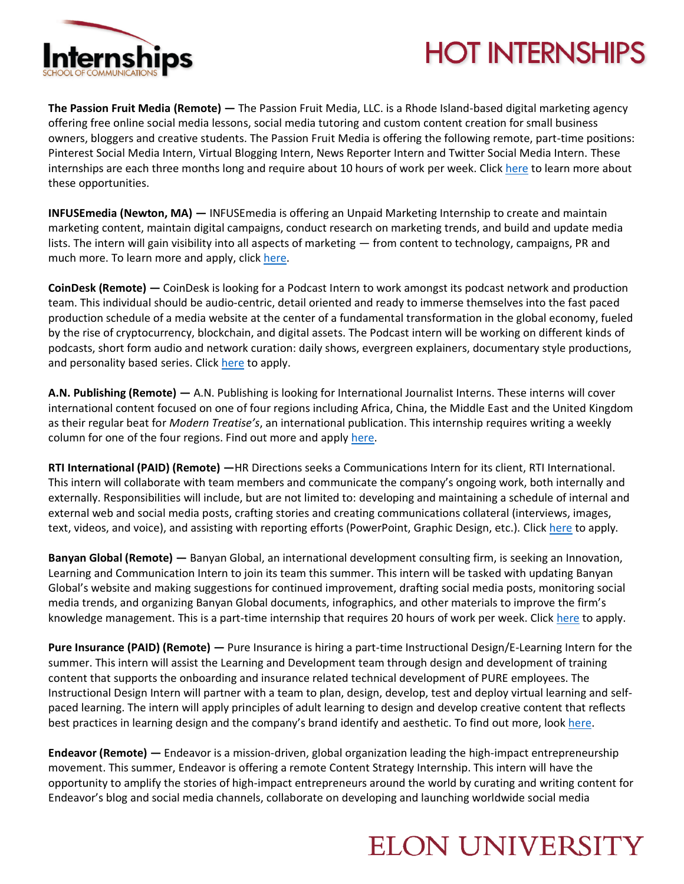

# **HOT INTERNSHIPS**

**The Passion Fruit Media (Remote) —** The Passion Fruit Media, LLC. is a Rhode Island-based digital marketing agency offering free online social media lessons, social media tutoring and custom content creation for small business owners, bloggers and creative students. The Passion Fruit Media is offering the following remote, part-time positions: Pinterest Social Media Intern, Virtual Blogging Intern, News Reporter Intern and Twitter Social Media Intern. These internships are each three months long and require about 10 hours of work per week. Clic[k here](https://www.thepassionfruitmedia.com/work-with-us) to learn more about these opportunities.

**INFUSEmedia (Newton, MA) —** INFUSEmedia is offering an Unpaid Marketing Internship to create and maintain marketing content, maintain digital campaigns, conduct research on marketing trends, and build and update media lists. The intern will gain visibility into all aspects of marketing — from content to technology, campaigns, PR and much more. To learn more and apply, click [here.](https://jobs.smartrecruiters.com/INFUSEmedia1/743999710716370-unpaid-marketing-internship)

**CoinDesk (Remote) —** CoinDesk is looking for a Podcast Intern to work amongst its podcast network and production team. This individual should be audio-centric, detail oriented and ready to immerse themselves into the fast paced production schedule of a media website at the center of a fundamental transformation in the global economy, fueled by the rise of cryptocurrency, blockchain, and digital assets. The Podcast intern will be working on different kinds of podcasts, short form audio and network curation: daily shows, evergreen explainers, documentary style productions, and personality based series. Click [here](https://boards.greenhouse.io/coindesk/jobs/4734964002?gh_src=3c65dc9c2us) to apply.

**A.N. Publishing (Remote) —** A.N. Publishing is looking for International Journalist Interns. These interns will cover international content focused on one of four regions including Africa, China, the Middle East and the United Kingdom as their regular beat for *Modern Treatise's*, an international publication. This internship requires writing a weekly column for one of the four regions. Find out more and apply [here.](https://jobs.smartrecruiters.com/ANPublishing1/743999711366831-international-journalist-intern?utm_source=adzuna&utm_medium=adzuna)

**RTI International (PAID) (Remote) —**HR Directions seeks a Communications Intern for its client, RTI International. This intern will collaborate with team members and communicate the company's ongoing work, both internally and externally. Responsibilities will include, but are not limited to: developing and maintaining a schedule of internal and external web and social media posts, crafting stories and creating communications collateral (interviews, images, text, videos, and voice), and assisting with reporting efforts (PowerPoint, Graphic Design, etc.). Clic[k here](https://rtiint.referrals.selectminds.com/domestic/jobs/communications-internship-4031?src=JB-10203) to apply.

**Banyan Global (Remote) —** Banyan Global, an international development consulting firm, is seeking an Innovation, Learning and Communication Intern to join its team this summer. This intern will be tasked with updating Banyan Global's website and making suggestions for continued improvement, drafting social media posts, monitoring social media trends, and organizing Banyan Global documents, infographics, and other materials to improve the firm's knowledge management. This is a part-time internship that requires 20 hours of work per week. Click [here](https://careers-banyanglobal.icims.com/jobs/1556/innovation%2c-learning%2c-and-communication-intern/job?mode=job&iis=Job+Posting&iisn=LinkedIn&mobile=false&width=895&height=500&bga=true&needsRedirect=false&jan1offset=-300&jun1offset=-240) to apply.

**Pure Insurance (PAID) (Remote) —** Pure Insurance is hiring a part-time Instructional Design/E-Learning Intern for the summer. This intern will assist the Learning and Development team through design and development of training content that supports the onboarding and insurance related technical development of PURE employees. The Instructional Design Intern will partner with a team to plan, design, develop, test and deploy virtual learning and selfpaced learning. The intern will apply principles of adult learning to design and develop creative content that reflects best practices in learning design and the company's brand identify and aesthetic. To find out more, look [here.](https://pureinsurance.wd5.myworkdayjobs.com/en-US/PURE/job/Remote-NY/Instructional-Design-E-Learning-Intern_R600)

**Endeavor (Remote) —** Endeavor is a mission-driven, global organization leading the high-impact entrepreneurship movement. This summer, Endeavor is offering a remote Content Strategy Internship. This intern will have the opportunity to amplify the stories of high-impact entrepreneurs around the world by curating and writing content for Endeavor's blog and social media channels, collaborate on developing and launching worldwide social media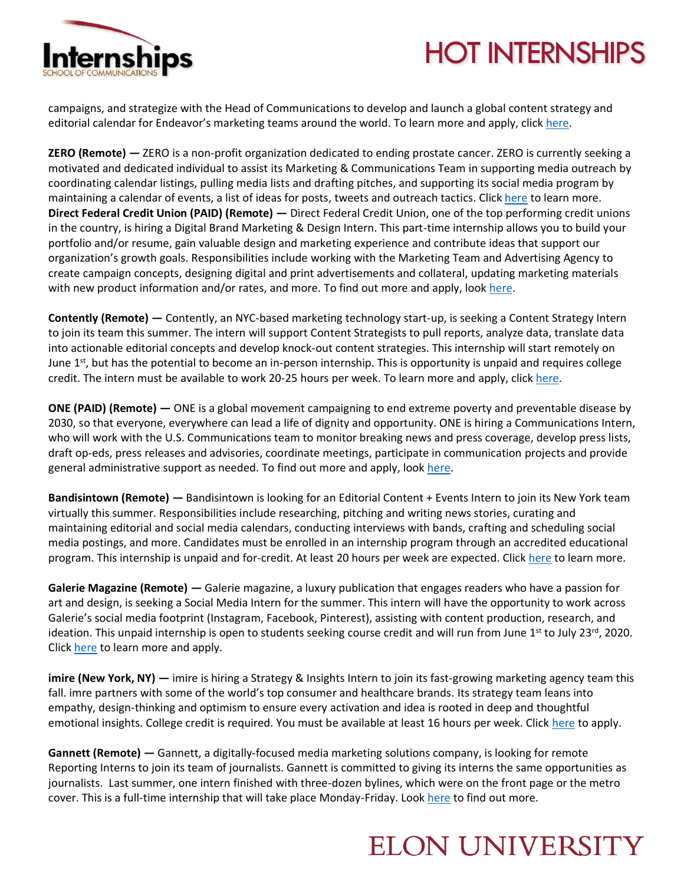

# **HOT INTERNSHIPS**

campaigns, and strategize with the Head of Communications to develop and launch a global content strategy and editorial calendar for Endeavor's marketing teams around the world. To learn more and apply, click [here.](https://apply.workable.com/endeavor-talent/j/48BFE40D66/)

**ZERO (Remote) —** ZERO is a non-profit organization dedicated to ending prostate cancer. ZERO is currently seeking a motivated and dedicated individual to assist its Marketing & Communications Team in supporting media outreach by coordinating calendar listings, pulling media lists and drafting pitches, and supporting its social media program by maintaining a calendar of events, a list of ideas for posts, tweets and outreach tactics. Clic[k here](https://zerocancer.org/why-zero/careers/marketingcommunications-intern/) to learn more. **Direct Federal Credit Union (PAID) (Remote) —** Direct Federal Credit Union, one of the top performing credit unions in the country, is hiring a Digital Brand Marketing & Design Intern. This part-time internship allows you to build your portfolio and/or resume, gain valuable design and marketing experience and contribute ideas that support our organization's growth goals. Responsibilities include working with the Marketing Team and Advertising Agency to create campaign concepts, designing digital and print advertisements and collateral, updating marketing materials with new product information and/or rates, and more. To find out more and apply, look [here.](https://recruiting.paylocity.com/Recruiting/Jobs/Details/273373)

**Contently (Remote) —** Contently, an NYC-based marketing technology start-up, is seeking a Content Strategy Intern to join its team this summer. The intern will support Content Strategists to pull reports, analyze data, translate data into actionable editorial concepts and develop knock-out content strategies. This internship will start remotely on June 1<sup>st</sup>, but has the potential to become an in-person internship. This is opportunity is unpaid and requires college credit. The intern must be available to work 20-25 hours per week. To learn more and apply, click [here.](https://boards.greenhouse.io/embed/job_app?token=2181707&gh_src=xyeugr1)

**ONE (PAID) (Remote) —** ONE is a global movement campaigning to end extreme poverty and preventable disease by 2030, so that everyone, everywhere can lead a life of dignity and opportunity. ONE is hiring a Communications Intern, who will work with the U.S. Communications team to monitor breaking news and press coverage, develop press lists, draft op-eds, press releases and advisories, coordinate meetings, participate in communication projects and provide general administrative support as needed. To find out more and apply, look [here.](https://recruiting.ultipro.com/ONE1007/JobBoard/23e61dfc-813d-5e3a-ba93-ec9aa1ee70fa/OpportunityDetail?opportunityId=bfa97138-b5e1-4e2b-b70e-40c593fb0f80&utm_source=LINKEDIN&utm_medium=referrer)

**Bandisintown (Remote) —** Bandisintown is looking for an Editorial Content + Events Intern to join its New York team virtually this summer. Responsibilities include researching, pitching and writing news stories, curating and maintaining editorial and social media calendars, conducting interviews with bands, crafting and scheduling social media postings, and more. Candidates must be enrolled in an internship program through an accredited educational program. This internship is unpaid and for-credit. At least 20 hours per week are expected. Click [here](https://apply.workable.com/bandsintown/j/C72DAE0932/) to learn more.

**Galerie Magazine (Remote) —** Galerie magazine, a luxury publication that engages readers who have a passion for art and design, is seeking a Social Media Intern for the summer. This intern will have the opportunity to work across Galerie's social media footprint (Instagram, Facebook, Pinterest), assisting with content production, research, and ideation. This unpaid internship is open to students seeking course credit and will run from June  $1^{st}$  to July 23<sup>rd</sup>, 2020. Clic[k here](https://www.linkedin.com/jobs/view/1847630843) to learn more and apply.

**imire (New York, NY)** — imire is hiring a Strategy & Insights Intern to join its fast-growing marketing agency team this fall. imre partners with some of the world's top consumer and healthcare brands. Its strategy team leans into empathy, design-thinking and optimism to ensure every activation and idea is rooted in deep and thoughtful emotional insights. College credit is required. You must be available at least 16 hours per week. Click [here](https://www.linkedin.com/jobs/view/1859865766) to apply.

**Gannett (Remote) —** Gannett, a digitally-focused media marketing solutions company, is looking for remote Reporting Interns to join its team of journalists. Gannett is committed to giving its interns the same opportunities as journalists. Last summer, one intern finished with three-dozen bylines, which were on the front page or the metro cover. This is a full-time internship that will take place Monday-Friday. Look [here](https://recruiting.adp.com/srccar/public/nghome.guid?c=2163213&d=GateHouse&prc=RMPOD1&r=5000606554106#/) to find out more.